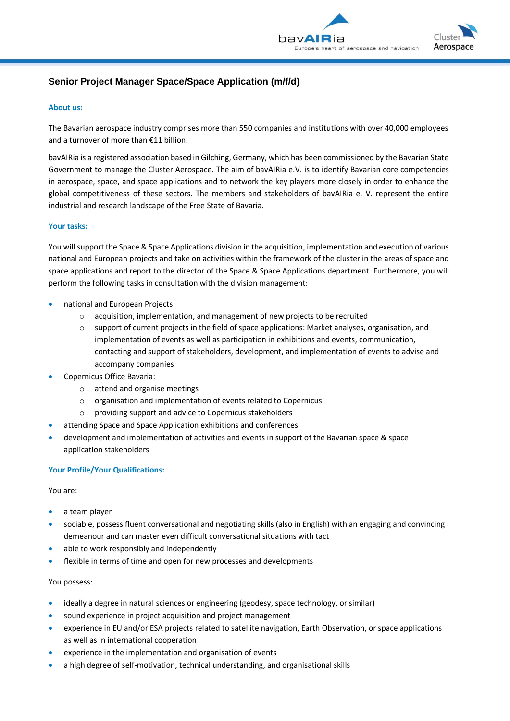



# **Senior Project Manager Space/Space Application (m/f/d)**

### **About us:**

The Bavarian aerospace industry comprises more than 550 companies and institutions with over 40,000 employees and a turnover of more than €11 billion.

bavAIRia is a registered association based in Gilching, Germany, which has been commissioned by the Bavarian State Government to manage the Cluster Aerospace. The aim of bavAIRia e.V. is to identify Bavarian core competencies in aerospace, space, and space applications and to network the key players more closely in order to enhance the global competitiveness of these sectors. The members and stakeholders of bavAIRia e. V. represent the entire industrial and research landscape of the Free State of Bavaria.

#### **Your tasks:**

You will support the Space & Space Applications division in the acquisition, implementation and execution of various national and European projects and take on activities within the framework of the cluster in the areas of space and space applications and report to the director of the Space & Space Applications department. Furthermore, you will perform the following tasks in consultation with the division management:

- national and European Projects:
	- o acquisition, implementation, and management of new projects to be recruited
	- o support of current projects in the field of space applications: Market analyses, organisation, and implementation of events as well as participation in exhibitions and events, communication, contacting and support of stakeholders, development, and implementation of events to advise and accompany companies
- Copernicus Office Bavaria:
	- o attend and organise meetings
	- o organisation and implementation of events related to Copernicus
	- o providing support and advice to Copernicus stakeholders
- attending Space and Space Application exhibitions and conferences
- development and implementation of activities and events in support of the Bavarian space & space application stakeholders

### **Your Profile/Your Qualifications:**

You are:

- a team player
- sociable, possess fluent conversational and negotiating skills (also in English) with an engaging and convincing demeanour and can master even difficult conversational situations with tact
- able to work responsibly and independently
- flexible in terms of time and open for new processes and developments

### You possess:

- ideally a degree in natural sciences or engineering (geodesy, space technology, or similar)
- sound experience in project acquisition and project management
- experience in EU and/or ESA projects related to satellite navigation, Earth Observation, or space applications as well as in international cooperation
- experience in the implementation and organisation of events
- a high degree of self-motivation, technical understanding, and organisational skills